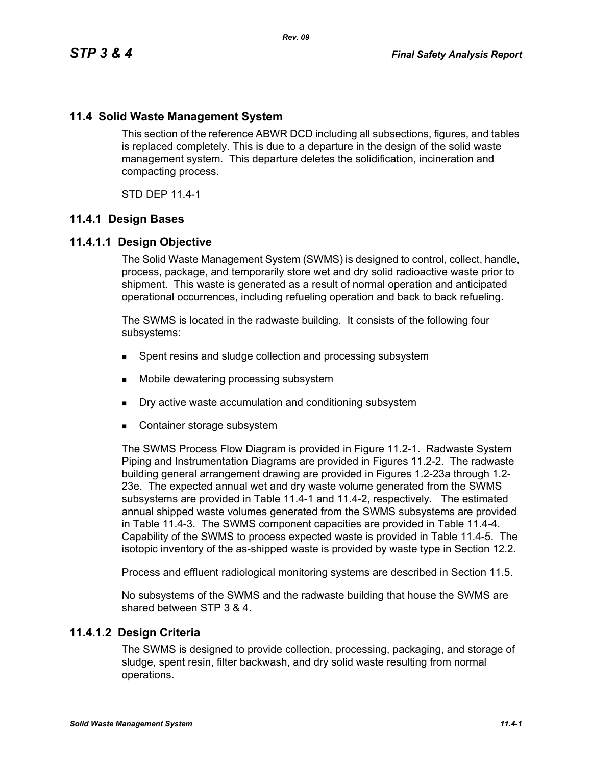# **11.4 Solid Waste Management System**

This section of the reference ABWR DCD including all subsections, figures, and tables is replaced completely. This is due to a departure in the design of the solid waste management system. This departure deletes the solidification, incineration and compacting process.

STD DEP 11.4-1

### **11.4.1 Design Bases**

### **11.4.1.1 Design Objective**

The Solid Waste Management System (SWMS) is designed to control, collect, handle, process, package, and temporarily store wet and dry solid radioactive waste prior to shipment. This waste is generated as a result of normal operation and anticipated operational occurrences, including refueling operation and back to back refueling.

The SWMS is located in the radwaste building. It consists of the following four subsystems:

- **Spent resins and sludge collection and processing subsystem**
- Mobile dewatering processing subsystem
- Dry active waste accumulation and conditioning subsystem
- Container storage subsystem

The SWMS Process Flow Diagram is provided in Figure 11.2-1. Radwaste System Piping and Instrumentation Diagrams are provided in Figures 11.2-2. The radwaste building general arrangement drawing are provided in Figures 1.2-23a through 1.2- 23e. The expected annual wet and dry waste volume generated from the SWMS subsystems are provided in Table 11.4-1 and 11.4-2, respectively. The estimated annual shipped waste volumes generated from the SWMS subsystems are provided in Table 11.4-3. The SWMS component capacities are provided in Table 11.4-4. Capability of the SWMS to process expected waste is provided in Table 11.4-5. The isotopic inventory of the as-shipped waste is provided by waste type in Section 12.2.

Process and effluent radiological monitoring systems are described in Section 11.5.

No subsystems of the SWMS and the radwaste building that house the SWMS are shared between STP 3 & 4.

### **11.4.1.2 Design Criteria**

The SWMS is designed to provide collection, processing, packaging, and storage of sludge, spent resin, filter backwash, and dry solid waste resulting from normal operations.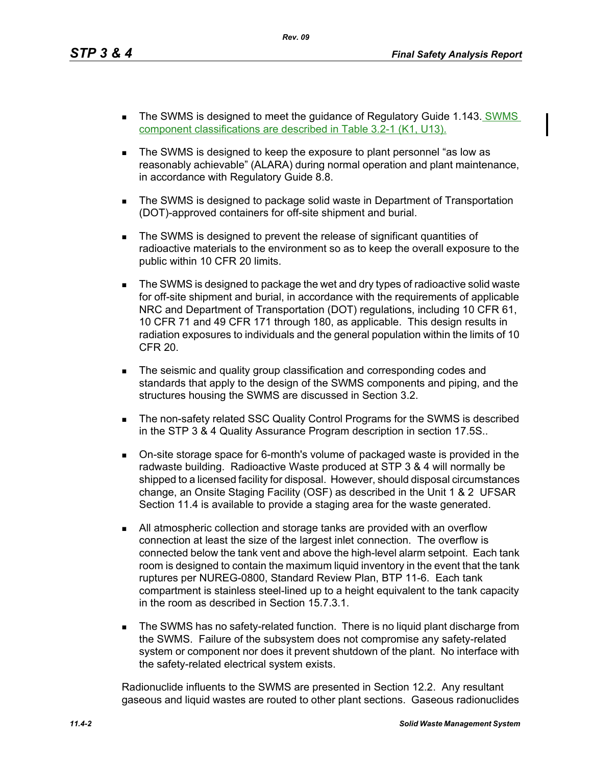- The SWMS is designed to meet the guidance of Regulatory Guide 1.143. SWMS component classifications are described in Table 3.2-1 (K1, U13).
- The SWMS is designed to keep the exposure to plant personnel "as low as reasonably achievable" (ALARA) during normal operation and plant maintenance, in accordance with Regulatory Guide 8.8.
- **The SWMS is designed to package solid waste in Department of Transportation** (DOT)-approved containers for off-site shipment and burial.
- The SWMS is designed to prevent the release of significant quantities of radioactive materials to the environment so as to keep the overall exposure to the public within 10 CFR 20 limits.
- The SWMS is designed to package the wet and dry types of radioactive solid waste for off-site shipment and burial, in accordance with the requirements of applicable NRC and Department of Transportation (DOT) regulations, including 10 CFR 61, 10 CFR 71 and 49 CFR 171 through 180, as applicable. This design results in radiation exposures to individuals and the general population within the limits of 10 CFR 20.
- **The seismic and quality group classification and corresponding codes and** standards that apply to the design of the SWMS components and piping, and the structures housing the SWMS are discussed in Section 3.2.
- **The non-safety related SSC Quality Control Programs for the SWMS is described** in the STP 3 & 4 Quality Assurance Program description in section 17.5S..
- On-site storage space for 6-month's volume of packaged waste is provided in the radwaste building. Radioactive Waste produced at STP 3 & 4 will normally be shipped to a licensed facility for disposal. However, should disposal circumstances change, an Onsite Staging Facility (OSF) as described in the Unit 1 & 2 UFSAR Section 11.4 is available to provide a staging area for the waste generated.
- All atmospheric collection and storage tanks are provided with an overflow connection at least the size of the largest inlet connection. The overflow is connected below the tank vent and above the high-level alarm setpoint. Each tank room is designed to contain the maximum liquid inventory in the event that the tank ruptures per NUREG-0800, Standard Review Plan, BTP 11-6. Each tank compartment is stainless steel-lined up to a height equivalent to the tank capacity in the room as described in Section 15.7.3.1.
- **The SWMS has no safety-related function. There is no liquid plant discharge from** the SWMS. Failure of the subsystem does not compromise any safety-related system or component nor does it prevent shutdown of the plant. No interface with the safety-related electrical system exists.

Radionuclide influents to the SWMS are presented in Section 12.2. Any resultant gaseous and liquid wastes are routed to other plant sections. Gaseous radionuclides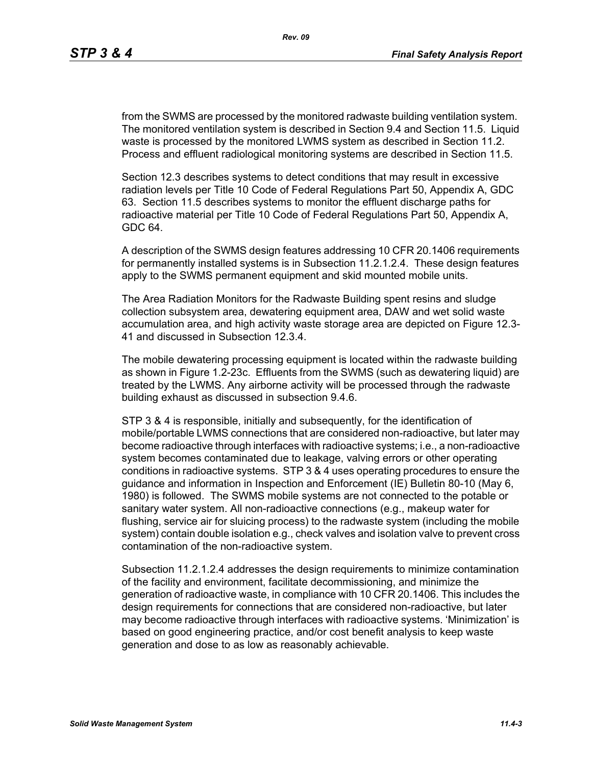from the SWMS are processed by the monitored radwaste building ventilation system. The monitored ventilation system is described in Section 9.4 and Section 11.5. Liquid waste is processed by the monitored LWMS system as described in Section 11.2. Process and effluent radiological monitoring systems are described in Section 11.5.

Section 12.3 describes systems to detect conditions that may result in excessive radiation levels per Title 10 Code of Federal Regulations Part 50, Appendix A, GDC 63. Section 11.5 describes systems to monitor the effluent discharge paths for radioactive material per Title 10 Code of Federal Regulations Part 50, Appendix A, GDC 64.

A description of the SWMS design features addressing 10 CFR 20.1406 requirements for permanently installed systems is in Subsection 11.2.1.2.4. These design features apply to the SWMS permanent equipment and skid mounted mobile units.

The Area Radiation Monitors for the Radwaste Building spent resins and sludge collection subsystem area, dewatering equipment area, DAW and wet solid waste accumulation area, and high activity waste storage area are depicted on Figure 12.3- 41 and discussed in Subsection 12.3.4.

The mobile dewatering processing equipment is located within the radwaste building as shown in Figure 1.2-23c. Effluents from the SWMS (such as dewatering liquid) are treated by the LWMS. Any airborne activity will be processed through the radwaste building exhaust as discussed in subsection 9.4.6.

STP 3 & 4 is responsible, initially and subsequently, for the identification of mobile/portable LWMS connections that are considered non-radioactive, but later may become radioactive through interfaces with radioactive systems; i.e., a non-radioactive system becomes contaminated due to leakage, valving errors or other operating conditions in radioactive systems. STP 3 & 4 uses operating procedures to ensure the guidance and information in Inspection and Enforcement (IE) Bulletin 80-10 (May 6, 1980) is followed. The SWMS mobile systems are not connected to the potable or sanitary water system. All non-radioactive connections (e.g., makeup water for flushing, service air for sluicing process) to the radwaste system (including the mobile system) contain double isolation e.g., check valves and isolation valve to prevent cross contamination of the non-radioactive system.

Subsection 11.2.1.2.4 addresses the design requirements to minimize contamination of the facility and environment, facilitate decommissioning, and minimize the generation of radioactive waste, in compliance with 10 CFR 20.1406. This includes the design requirements for connections that are considered non-radioactive, but later may become radioactive through interfaces with radioactive systems. 'Minimization' is based on good engineering practice, and/or cost benefit analysis to keep waste generation and dose to as low as reasonably achievable.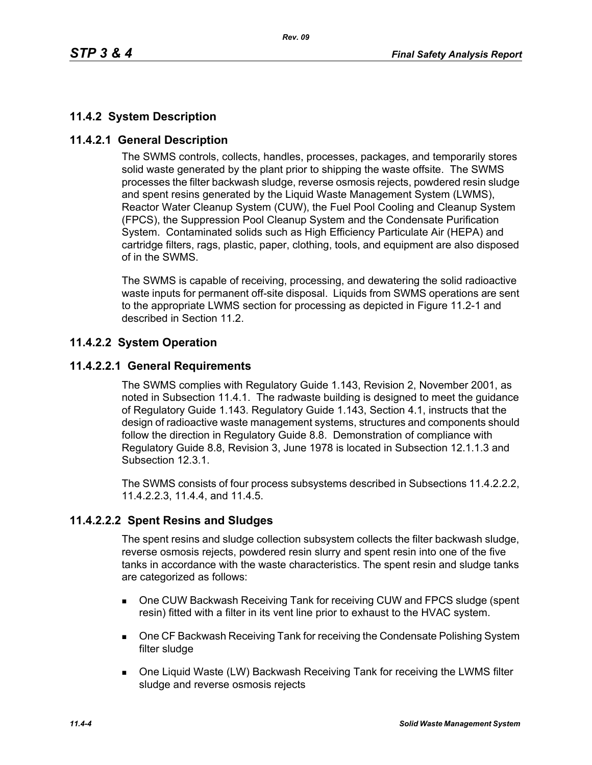# **11.4.2 System Description**

# **11.4.2.1 General Description**

The SWMS controls, collects, handles, processes, packages, and temporarily stores solid waste generated by the plant prior to shipping the waste offsite. The SWMS processes the filter backwash sludge, reverse osmosis rejects, powdered resin sludge and spent resins generated by the Liquid Waste Management System (LWMS), Reactor Water Cleanup System (CUW), the Fuel Pool Cooling and Cleanup System (FPCS), the Suppression Pool Cleanup System and the Condensate Purification System. Contaminated solids such as High Efficiency Particulate Air (HEPA) and cartridge filters, rags, plastic, paper, clothing, tools, and equipment are also disposed of in the SWMS.

The SWMS is capable of receiving, processing, and dewatering the solid radioactive waste inputs for permanent off-site disposal. Liquids from SWMS operations are sent to the appropriate LWMS section for processing as depicted in Figure 11.2-1 and described in Section 11.2.

# **11.4.2.2 System Operation**

# **11.4.2.2.1 General Requirements**

The SWMS complies with Regulatory Guide 1.143, Revision 2, November 2001, as noted in Subsection 11.4.1. The radwaste building is designed to meet the guidance of Regulatory Guide 1.143. Regulatory Guide 1.143, Section 4.1, instructs that the design of radioactive waste management systems, structures and components should follow the direction in Regulatory Guide 8.8. Demonstration of compliance with Regulatory Guide 8.8, Revision 3, June 1978 is located in Subsection 12.1.1.3 and Subsection 12.3.1.

The SWMS consists of four process subsystems described in Subsections 11.4.2.2.2, 11.4.2.2.3, 11.4.4, and 11.4.5.

# **11.4.2.2.2 Spent Resins and Sludges**

The spent resins and sludge collection subsystem collects the filter backwash sludge, reverse osmosis rejects, powdered resin slurry and spent resin into one of the five tanks in accordance with the waste characteristics. The spent resin and sludge tanks are categorized as follows:

- One CUW Backwash Receiving Tank for receiving CUW and FPCS sludge (spent resin) fitted with a filter in its vent line prior to exhaust to the HVAC system.
- **DIE CF Backwash Receiving Tank for receiving the Condensate Polishing System** filter sludge
- One Liquid Waste (LW) Backwash Receiving Tank for receiving the LWMS filter sludge and reverse osmosis rejects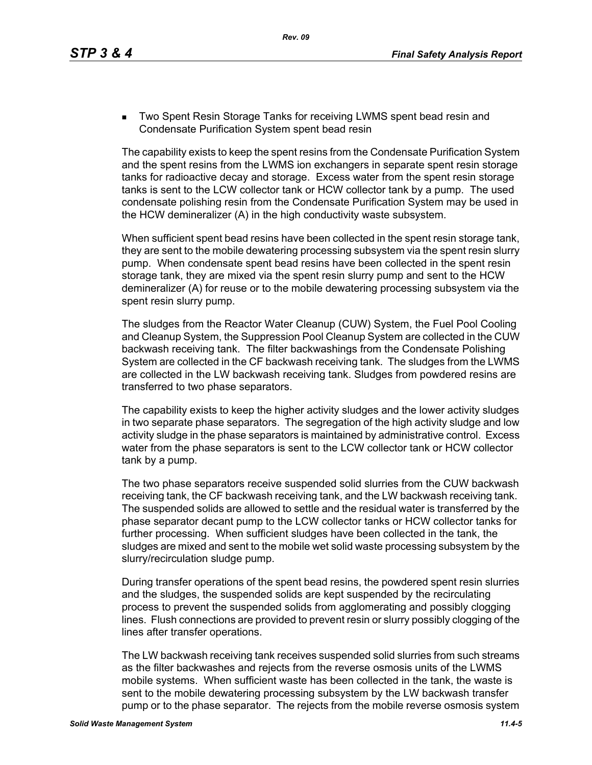**Two Spent Resin Storage Tanks for receiving LWMS spent bead resin and** Condensate Purification System spent bead resin

The capability exists to keep the spent resins from the Condensate Purification System and the spent resins from the LWMS ion exchangers in separate spent resin storage tanks for radioactive decay and storage. Excess water from the spent resin storage tanks is sent to the LCW collector tank or HCW collector tank by a pump. The used condensate polishing resin from the Condensate Purification System may be used in the HCW demineralizer (A) in the high conductivity waste subsystem.

When sufficient spent bead resins have been collected in the spent resin storage tank, they are sent to the mobile dewatering processing subsystem via the spent resin slurry pump. When condensate spent bead resins have been collected in the spent resin storage tank, they are mixed via the spent resin slurry pump and sent to the HCW demineralizer (A) for reuse or to the mobile dewatering processing subsystem via the spent resin slurry pump.

The sludges from the Reactor Water Cleanup (CUW) System, the Fuel Pool Cooling and Cleanup System, the Suppression Pool Cleanup System are collected in the CUW backwash receiving tank. The filter backwashings from the Condensate Polishing System are collected in the CF backwash receiving tank. The sludges from the LWMS are collected in the LW backwash receiving tank. Sludges from powdered resins are transferred to two phase separators.

The capability exists to keep the higher activity sludges and the lower activity sludges in two separate phase separators. The segregation of the high activity sludge and low activity sludge in the phase separators is maintained by administrative control. Excess water from the phase separators is sent to the LCW collector tank or HCW collector tank by a pump.

The two phase separators receive suspended solid slurries from the CUW backwash receiving tank, the CF backwash receiving tank, and the LW backwash receiving tank. The suspended solids are allowed to settle and the residual water is transferred by the phase separator decant pump to the LCW collector tanks or HCW collector tanks for further processing. When sufficient sludges have been collected in the tank, the sludges are mixed and sent to the mobile wet solid waste processing subsystem by the slurry/recirculation sludge pump.

During transfer operations of the spent bead resins, the powdered spent resin slurries and the sludges, the suspended solids are kept suspended by the recirculating process to prevent the suspended solids from agglomerating and possibly clogging lines. Flush connections are provided to prevent resin or slurry possibly clogging of the lines after transfer operations.

The LW backwash receiving tank receives suspended solid slurries from such streams as the filter backwashes and rejects from the reverse osmosis units of the LWMS mobile systems. When sufficient waste has been collected in the tank, the waste is sent to the mobile dewatering processing subsystem by the LW backwash transfer pump or to the phase separator. The rejects from the mobile reverse osmosis system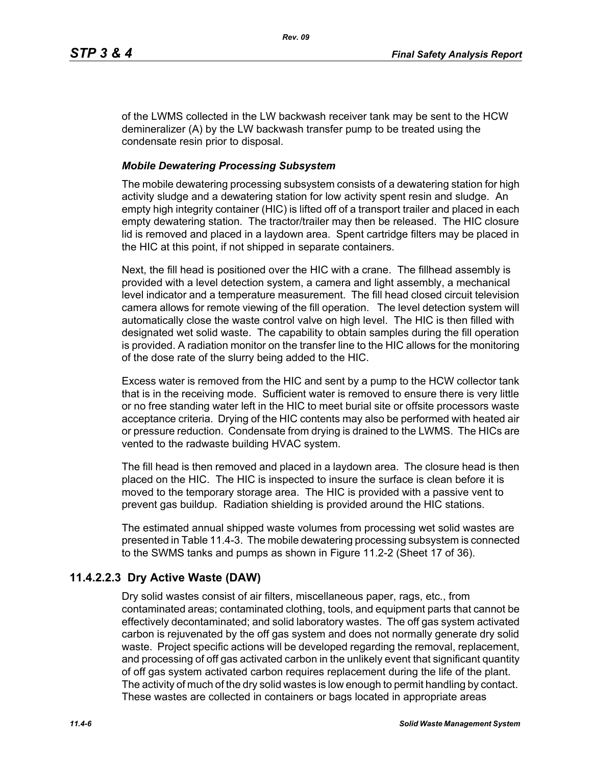of the LWMS collected in the LW backwash receiver tank may be sent to the HCW demineralizer (A) by the LW backwash transfer pump to be treated using the condensate resin prior to disposal.

# *Mobile Dewatering Processing Subsystem*

The mobile dewatering processing subsystem consists of a dewatering station for high activity sludge and a dewatering station for low activity spent resin and sludge. An empty high integrity container (HIC) is lifted off of a transport trailer and placed in each empty dewatering station. The tractor/trailer may then be released. The HIC closure lid is removed and placed in a laydown area. Spent cartridge filters may be placed in the HIC at this point, if not shipped in separate containers.

Next, the fill head is positioned over the HIC with a crane. The fillhead assembly is provided with a level detection system, a camera and light assembly, a mechanical level indicator and a temperature measurement. The fill head closed circuit television camera allows for remote viewing of the fill operation. The level detection system will automatically close the waste control valve on high level. The HIC is then filled with designated wet solid waste. The capability to obtain samples during the fill operation is provided. A radiation monitor on the transfer line to the HIC allows for the monitoring of the dose rate of the slurry being added to the HIC.

Excess water is removed from the HIC and sent by a pump to the HCW collector tank that is in the receiving mode. Sufficient water is removed to ensure there is very little or no free standing water left in the HIC to meet burial site or offsite processors waste acceptance criteria. Drying of the HIC contents may also be performed with heated air or pressure reduction. Condensate from drying is drained to the LWMS. The HICs are vented to the radwaste building HVAC system.

The fill head is then removed and placed in a laydown area. The closure head is then placed on the HIC. The HIC is inspected to insure the surface is clean before it is moved to the temporary storage area. The HIC is provided with a passive vent to prevent gas buildup. Radiation shielding is provided around the HIC stations.

The estimated annual shipped waste volumes from processing wet solid wastes are presented in Table 11.4-3. The mobile dewatering processing subsystem is connected to the SWMS tanks and pumps as shown in Figure 11.2-2 (Sheet 17 of 36).

# **11.4.2.2.3 Dry Active Waste (DAW)**

Dry solid wastes consist of air filters, miscellaneous paper, rags, etc., from contaminated areas; contaminated clothing, tools, and equipment parts that cannot be effectively decontaminated; and solid laboratory wastes. The off gas system activated carbon is rejuvenated by the off gas system and does not normally generate dry solid waste. Project specific actions will be developed regarding the removal, replacement, and processing of off gas activated carbon in the unlikely event that significant quantity of off gas system activated carbon requires replacement during the life of the plant. The activity of much of the dry solid wastes is low enough to permit handling by contact. These wastes are collected in containers or bags located in appropriate areas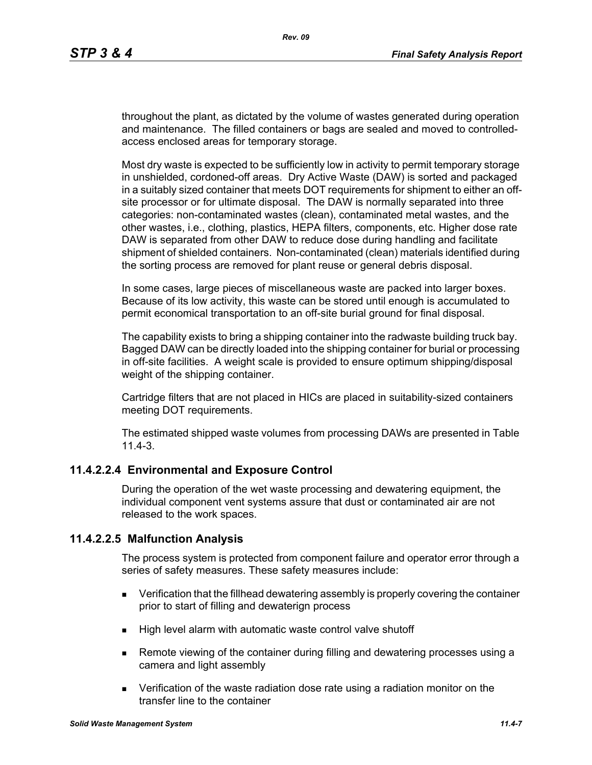throughout the plant, as dictated by the volume of wastes generated during operation and maintenance. The filled containers or bags are sealed and moved to controlledaccess enclosed areas for temporary storage.

Most dry waste is expected to be sufficiently low in activity to permit temporary storage in unshielded, cordoned-off areas. Dry Active Waste (DAW) is sorted and packaged in a suitably sized container that meets DOT requirements for shipment to either an offsite processor or for ultimate disposal. The DAW is normally separated into three categories: non-contaminated wastes (clean), contaminated metal wastes, and the other wastes, i.e., clothing, plastics, HEPA filters, components, etc. Higher dose rate DAW is separated from other DAW to reduce dose during handling and facilitate shipment of shielded containers. Non-contaminated (clean) materials identified during the sorting process are removed for plant reuse or general debris disposal.

In some cases, large pieces of miscellaneous waste are packed into larger boxes. Because of its low activity, this waste can be stored until enough is accumulated to permit economical transportation to an off-site burial ground for final disposal.

The capability exists to bring a shipping container into the radwaste building truck bay. Bagged DAW can be directly loaded into the shipping container for burial or processing in off-site facilities. A weight scale is provided to ensure optimum shipping/disposal weight of the shipping container.

Cartridge filters that are not placed in HICs are placed in suitability-sized containers meeting DOT requirements.

The estimated shipped waste volumes from processing DAWs are presented in Table 11.4-3.

# **11.4.2.2.4 Environmental and Exposure Control**

During the operation of the wet waste processing and dewatering equipment, the individual component vent systems assure that dust or contaminated air are not released to the work spaces.

### **11.4.2.2.5 Malfunction Analysis**

The process system is protected from component failure and operator error through a series of safety measures. These safety measures include:

- **EXECT** Verification that the fillhead dewatering assembly is properly covering the container prior to start of filling and dewaterign process
- $\blacksquare$  High level alarm with automatic waste control valve shutoff
- **Remote viewing of the container during filling and dewatering processes using a** camera and light assembly
- Verification of the waste radiation dose rate using a radiation monitor on the transfer line to the container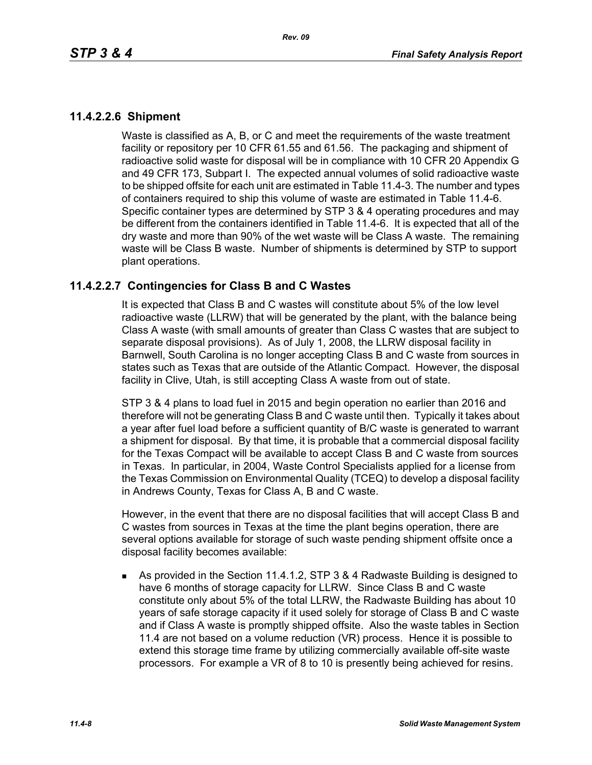## **11.4.2.2.6 Shipment**

Waste is classified as A, B, or C and meet the requirements of the waste treatment facility or repository per 10 CFR 61.55 and 61.56. The packaging and shipment of radioactive solid waste for disposal will be in compliance with 10 CFR 20 Appendix G and 49 CFR 173, Subpart I. The expected annual volumes of solid radioactive waste to be shipped offsite for each unit are estimated in Table 11.4-3. The number and types of containers required to ship this volume of waste are estimated in Table 11.4-6. Specific container types are determined by STP 3 & 4 operating procedures and may be different from the containers identified in Table 11.4-6. It is expected that all of the dry waste and more than 90% of the wet waste will be Class A waste. The remaining waste will be Class B waste. Number of shipments is determined by STP to support plant operations.

## **11.4.2.2.7 Contingencies for Class B and C Wastes**

It is expected that Class B and C wastes will constitute about 5% of the low level radioactive waste (LLRW) that will be generated by the plant, with the balance being Class A waste (with small amounts of greater than Class C wastes that are subject to separate disposal provisions). As of July 1, 2008, the LLRW disposal facility in Barnwell, South Carolina is no longer accepting Class B and C waste from sources in states such as Texas that are outside of the Atlantic Compact. However, the disposal facility in Clive, Utah, is still accepting Class A waste from out of state.

STP 3 & 4 plans to load fuel in 2015 and begin operation no earlier than 2016 and therefore will not be generating Class B and C waste until then. Typically it takes about a year after fuel load before a sufficient quantity of B/C waste is generated to warrant a shipment for disposal. By that time, it is probable that a commercial disposal facility for the Texas Compact will be available to accept Class B and C waste from sources in Texas. In particular, in 2004, Waste Control Specialists applied for a license from the Texas Commission on Environmental Quality (TCEQ) to develop a disposal facility in Andrews County, Texas for Class A, B and C waste.

However, in the event that there are no disposal facilities that will accept Class B and C wastes from sources in Texas at the time the plant begins operation, there are several options available for storage of such waste pending shipment offsite once a disposal facility becomes available:

 As provided in the Section 11.4.1.2, STP 3 & 4 Radwaste Building is designed to have 6 months of storage capacity for LLRW. Since Class B and C waste constitute only about 5% of the total LLRW, the Radwaste Building has about 10 years of safe storage capacity if it used solely for storage of Class B and C waste and if Class A waste is promptly shipped offsite. Also the waste tables in Section 11.4 are not based on a volume reduction (VR) process. Hence it is possible to extend this storage time frame by utilizing commercially available off-site waste processors. For example a VR of 8 to 10 is presently being achieved for resins.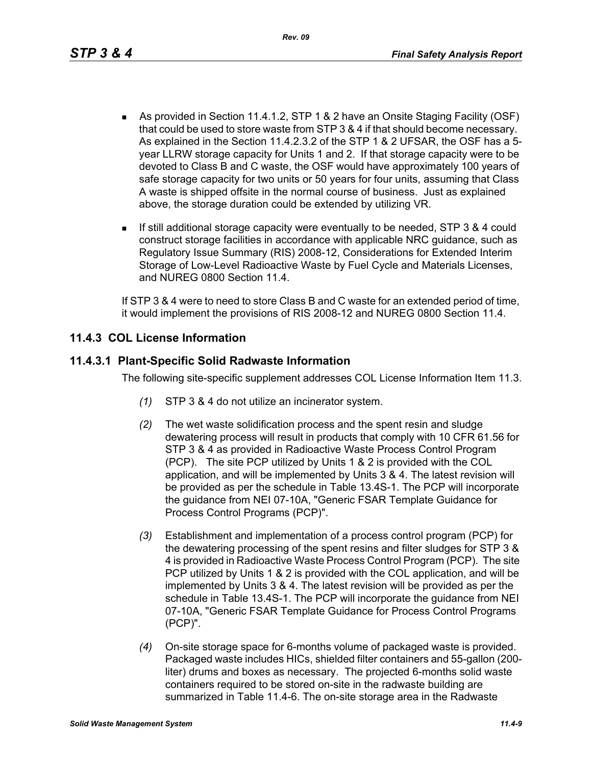- As provided in Section 11.4.1.2, STP 1 & 2 have an Onsite Staging Facility (OSF) that could be used to store waste from STP 3 & 4 if that should become necessary. As explained in the Section 11.4.2.3.2 of the STP 1 & 2 UFSAR, the OSF has a 5 year LLRW storage capacity for Units 1 and 2. If that storage capacity were to be devoted to Class B and C waste, the OSF would have approximately 100 years of safe storage capacity for two units or 50 years for four units, assuming that Class A waste is shipped offsite in the normal course of business. Just as explained above, the storage duration could be extended by utilizing VR.
- If still additional storage capacity were eventually to be needed, STP 3 & 4 could construct storage facilities in accordance with applicable NRC guidance, such as Regulatory Issue Summary (RIS) 2008-12, Considerations for Extended Interim Storage of Low-Level Radioactive Waste by Fuel Cycle and Materials Licenses, and NUREG 0800 Section 11.4.

If STP 3 & 4 were to need to store Class B and C waste for an extended period of time, it would implement the provisions of RIS 2008-12 and NUREG 0800 Section 11.4.

# **11.4.3 COL License Information**

# **11.4.3.1 Plant-Specific Solid Radwaste Information**

The following site-specific supplement addresses COL License Information Item 11.3.

- *(1)* STP 3 & 4 do not utilize an incinerator system.
- *(2)* The wet waste solidification process and the spent resin and sludge dewatering process will result in products that comply with 10 CFR 61.56 for STP 3 & 4 as provided in Radioactive Waste Process Control Program (PCP). The site PCP utilized by Units 1 & 2 is provided with the COL application, and will be implemented by Units 3 & 4. The latest revision will be provided as per the schedule in Table 13.4S-1. The PCP will incorporate the guidance from NEI 07-10A, "Generic FSAR Template Guidance for Process Control Programs (PCP)".
- *(3)* Establishment and implementation of a process control program (PCP) for the dewatering processing of the spent resins and filter sludges for STP 3 & 4 is provided in Radioactive Waste Process Control Program (PCP). The site PCP utilized by Units 1 & 2 is provided with the COL application, and will be implemented by Units 3 & 4. The latest revision will be provided as per the schedule in Table 13.4S-1. The PCP will incorporate the guidance from NEI 07-10A, "Generic FSAR Template Guidance for Process Control Programs (PCP)".
- *(4)* On-site storage space for 6-months volume of packaged waste is provided. Packaged waste includes HICs, shielded filter containers and 55-gallon (200 liter) drums and boxes as necessary. The projected 6-months solid waste containers required to be stored on-site in the radwaste building are summarized in Table 11.4-6. The on-site storage area in the Radwaste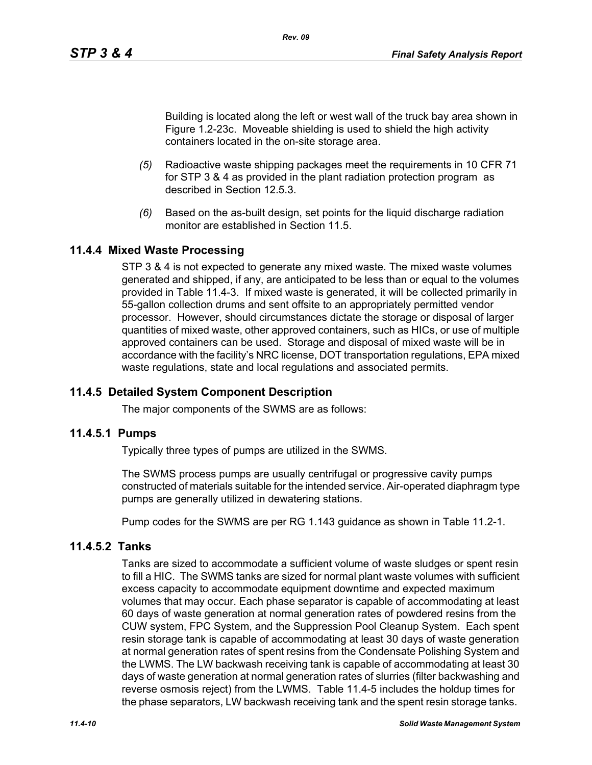Building is located along the left or west wall of the truck bay area shown in Figure 1.2-23c. Moveable shielding is used to shield the high activity containers located in the on-site storage area.

- *(5)* Radioactive waste shipping packages meet the requirements in 10 CFR 71 for STP 3 & 4 as provided in the plant radiation protection program as described in Section 12.5.3.
- *(6)* Based on the as-built design, set points for the liquid discharge radiation monitor are established in Section 11.5

# **11.4.4 Mixed Waste Processing**

STP 3 & 4 is not expected to generate any mixed waste. The mixed waste volumes generated and shipped, if any, are anticipated to be less than or equal to the volumes provided in Table 11.4-3. If mixed waste is generated, it will be collected primarily in 55-gallon collection drums and sent offsite to an appropriately permitted vendor processor. However, should circumstances dictate the storage or disposal of larger quantities of mixed waste, other approved containers, such as HICs, or use of multiple approved containers can be used. Storage and disposal of mixed waste will be in accordance with the facility's NRC license, DOT transportation regulations, EPA mixed waste regulations, state and local regulations and associated permits.

# **11.4.5 Detailed System Component Description**

The major components of the SWMS are as follows:

### **11.4.5.1 Pumps**

Typically three types of pumps are utilized in the SWMS.

The SWMS process pumps are usually centrifugal or progressive cavity pumps constructed of materials suitable for the intended service. Air-operated diaphragm type pumps are generally utilized in dewatering stations.

Pump codes for the SWMS are per RG 1.143 guidance as shown in Table 11.2-1.

# **11.4.5.2 Tanks**

Tanks are sized to accommodate a sufficient volume of waste sludges or spent resin to fill a HIC. The SWMS tanks are sized for normal plant waste volumes with sufficient excess capacity to accommodate equipment downtime and expected maximum volumes that may occur. Each phase separator is capable of accommodating at least 60 days of waste generation at normal generation rates of powdered resins from the CUW system, FPC System, and the Suppression Pool Cleanup System. Each spent resin storage tank is capable of accommodating at least 30 days of waste generation at normal generation rates of spent resins from the Condensate Polishing System and the LWMS. The LW backwash receiving tank is capable of accommodating at least 30 days of waste generation at normal generation rates of slurries (filter backwashing and reverse osmosis reject) from the LWMS. Table 11.4-5 includes the holdup times for the phase separators, LW backwash receiving tank and the spent resin storage tanks.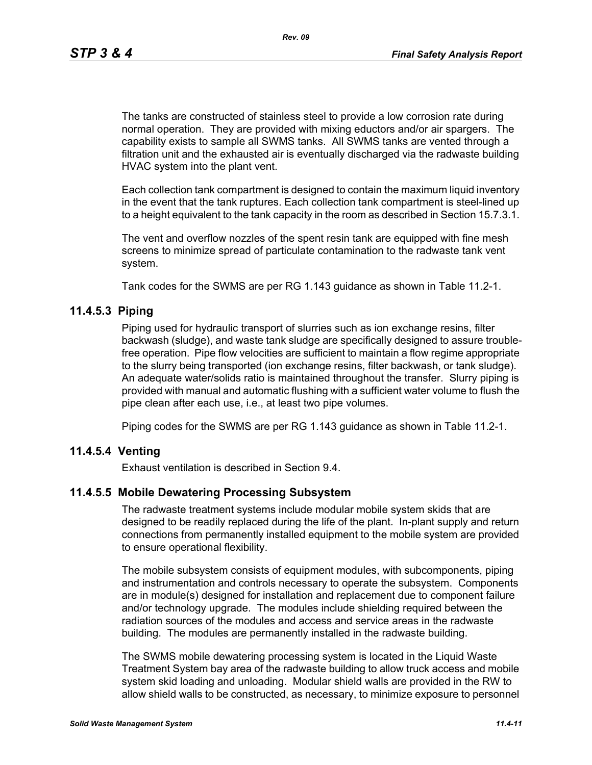The tanks are constructed of stainless steel to provide a low corrosion rate during normal operation. They are provided with mixing eductors and/or air spargers. The capability exists to sample all SWMS tanks. All SWMS tanks are vented through a filtration unit and the exhausted air is eventually discharged via the radwaste building HVAC system into the plant vent.

Each collection tank compartment is designed to contain the maximum liquid inventory in the event that the tank ruptures. Each collection tank compartment is steel-lined up to a height equivalent to the tank capacity in the room as described in Section 15.7.3.1.

The vent and overflow nozzles of the spent resin tank are equipped with fine mesh screens to minimize spread of particulate contamination to the radwaste tank vent system.

Tank codes for the SWMS are per RG 1.143 guidance as shown in Table 11.2-1.

#### **11.4.5.3 Piping**

Piping used for hydraulic transport of slurries such as ion exchange resins, filter backwash (sludge), and waste tank sludge are specifically designed to assure troublefree operation. Pipe flow velocities are sufficient to maintain a flow regime appropriate to the slurry being transported (ion exchange resins, filter backwash, or tank sludge). An adequate water/solids ratio is maintained throughout the transfer. Slurry piping is provided with manual and automatic flushing with a sufficient water volume to flush the pipe clean after each use, i.e., at least two pipe volumes.

Piping codes for the SWMS are per RG 1.143 guidance as shown in Table 11.2-1.

#### **11.4.5.4 Venting**

Exhaust ventilation is described in Section 9.4.

#### **11.4.5.5 Mobile Dewatering Processing Subsystem**

The radwaste treatment systems include modular mobile system skids that are designed to be readily replaced during the life of the plant. In-plant supply and return connections from permanently installed equipment to the mobile system are provided to ensure operational flexibility.

The mobile subsystem consists of equipment modules, with subcomponents, piping and instrumentation and controls necessary to operate the subsystem. Components are in module(s) designed for installation and replacement due to component failure and/or technology upgrade. The modules include shielding required between the radiation sources of the modules and access and service areas in the radwaste building. The modules are permanently installed in the radwaste building.

The SWMS mobile dewatering processing system is located in the Liquid Waste Treatment System bay area of the radwaste building to allow truck access and mobile system skid loading and unloading. Modular shield walls are provided in the RW to allow shield walls to be constructed, as necessary, to minimize exposure to personnel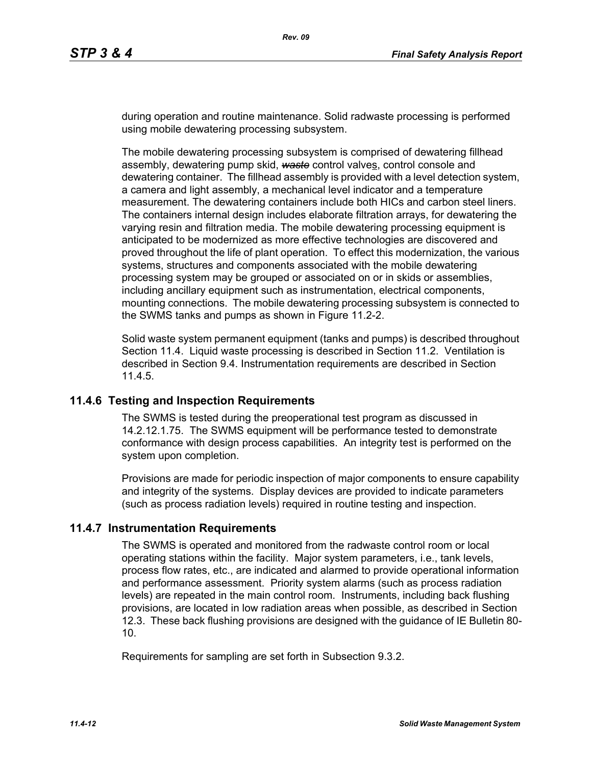during operation and routine maintenance. Solid radwaste processing is performed using mobile dewatering processing subsystem.

The mobile dewatering processing subsystem is comprised of dewatering fillhead assembly, dewatering pump skid, *waste* control valves, control console and dewatering container. The fillhead assembly is provided with a level detection system, a camera and light assembly, a mechanical level indicator and a temperature measurement. The dewatering containers include both HICs and carbon steel liners. The containers internal design includes elaborate filtration arrays, for dewatering the varying resin and filtration media. The mobile dewatering processing equipment is anticipated to be modernized as more effective technologies are discovered and proved throughout the life of plant operation. To effect this modernization, the various systems, structures and components associated with the mobile dewatering processing system may be grouped or associated on or in skids or assemblies, including ancillary equipment such as instrumentation, electrical components, mounting connections. The mobile dewatering processing subsystem is connected to the SWMS tanks and pumps as shown in Figure 11.2-2.

Solid waste system permanent equipment (tanks and pumps) is described throughout Section 11.4. Liquid waste processing is described in Section 11.2. Ventilation is described in Section 9.4. Instrumentation requirements are described in Section 11.4.5.

### **11.4.6 Testing and Inspection Requirements**

The SWMS is tested during the preoperational test program as discussed in 14.2.12.1.75. The SWMS equipment will be performance tested to demonstrate conformance with design process capabilities. An integrity test is performed on the system upon completion.

Provisions are made for periodic inspection of major components to ensure capability and integrity of the systems. Display devices are provided to indicate parameters (such as process radiation levels) required in routine testing and inspection.

### **11.4.7 Instrumentation Requirements**

The SWMS is operated and monitored from the radwaste control room or local operating stations within the facility. Major system parameters, i.e., tank levels, process flow rates, etc., are indicated and alarmed to provide operational information and performance assessment. Priority system alarms (such as process radiation levels) are repeated in the main control room. Instruments, including back flushing provisions, are located in low radiation areas when possible, as described in Section 12.3. These back flushing provisions are designed with the guidance of IE Bulletin 80- 10.

Requirements for sampling are set forth in Subsection 9.3.2.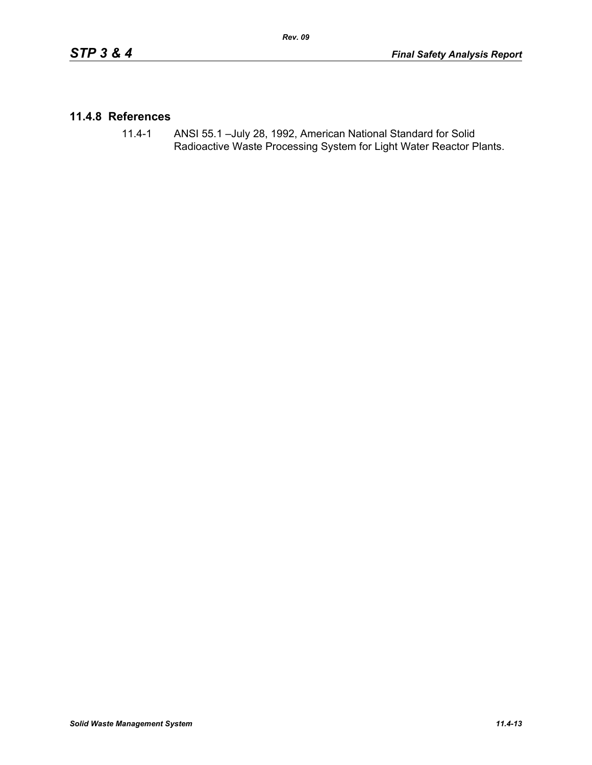## **11.4.8 References**

11.4-1 ANSI 55.1 –July 28, 1992, American National Standard for Solid Radioactive Waste Processing System for Light Water Reactor Plants.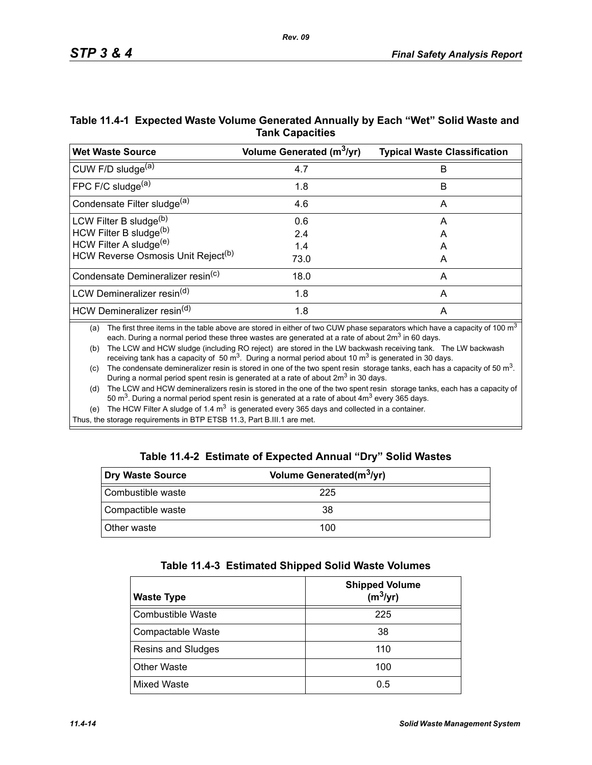| Table 11.4-1 Expected Waste Volume Generated Annually by Each "Wet" Solid Waste and |
|-------------------------------------------------------------------------------------|
| <b>Tank Capacities</b>                                                              |

| <b>Wet Waste Source</b>                        | Volume Generated (m <sup>3</sup> /yr) | <b>Typical Waste Classification</b> |
|------------------------------------------------|---------------------------------------|-------------------------------------|
| CUW F/D sludge <sup>(a)</sup>                  | 4.7                                   | B                                   |
| FPC F/C sludge $(a)$                           | 1.8                                   | В                                   |
| Condensate Filter sludge <sup>(a)</sup>        | 4.6                                   | A                                   |
| LCW Filter B sludge <sup>(b)</sup>             | 0.6                                   | A                                   |
| HCW Filter B sludge(b)                         | 2.4                                   | A                                   |
| HCW Filter A sludge <sup>(e)</sup>             | 1.4                                   | А                                   |
| HCW Reverse Osmosis Unit Reject <sup>(b)</sup> | 73.0                                  | A                                   |
| Condensate Demineralizer resin <sup>(c)</sup>  | 18.0                                  | A                                   |
| LCW Demineralizer resin <sup>(d)</sup>         | 1.8                                   | A                                   |
| HCW Demineralizer resin <sup>(d)</sup>         | 1.8                                   | A                                   |

(a) The first three items in the table above are stored in either of two CUW phase separators which have a capacity of 100  $m<sup>3</sup>$ each. During a normal period these three wastes are generated at a rate of about  $2m<sup>3</sup>$  in 60 days.

(b) The LCW and HCW sludge (including RO reject) are stored in the LW backwash receiving tank. The LW backwash receiving tank has a capacity of 50  $\text{m}^3$ . During a normal period about 10  $\text{m}^3$  is generated in 30 days.

(c) The condensate demineralizer resin is stored in one of the two spent resin storage tanks, each has a capacity of 50  $m<sup>3</sup>$ . During a normal period spent resin is generated at a rate of about 2m<sup>3</sup> in 30 days.

(d) The LCW and HCW demineralizers resin is stored in the one of the two spent resin storage tanks, each has a capacity of 50  $\text{m}^3$ . During a normal period spent resin is generated at a rate of about  $4\text{m}^3$  every 365 days.

(e) The HCW Filter A sludge of 1.4  $m<sup>3</sup>$  is generated every 365 days and collected in a container.

Thus, the storage requirements in BTP ETSB 11.3, Part B.III.1 are met.

|  | Table 11.4-2 Estimate of Expected Annual "Dry" Solid Wastes |  |  |  |
|--|-------------------------------------------------------------|--|--|--|
|--|-------------------------------------------------------------|--|--|--|

| Dry Waste Source   | Volume Generated(m <sup>3</sup> /yr) |  |
|--------------------|--------------------------------------|--|
| Combustible waste  | 225                                  |  |
| Compactible waste  | 38                                   |  |
| <b>Other waste</b> | 100                                  |  |

| Table 11.4-3 Estimated Shipped Solid Waste Volumes |  |  |  |  |  |
|----------------------------------------------------|--|--|--|--|--|
|----------------------------------------------------|--|--|--|--|--|

| <b>Waste Type</b>        | <b>Shipped Volume</b><br>$(m^3/yr)$ |
|--------------------------|-------------------------------------|
| <b>Combustible Waste</b> | 225                                 |
| Compactable Waste        | 38                                  |
| Resins and Sludges       | 110                                 |
| <b>Other Waste</b>       | 100                                 |
| Mixed Waste              | 0.5                                 |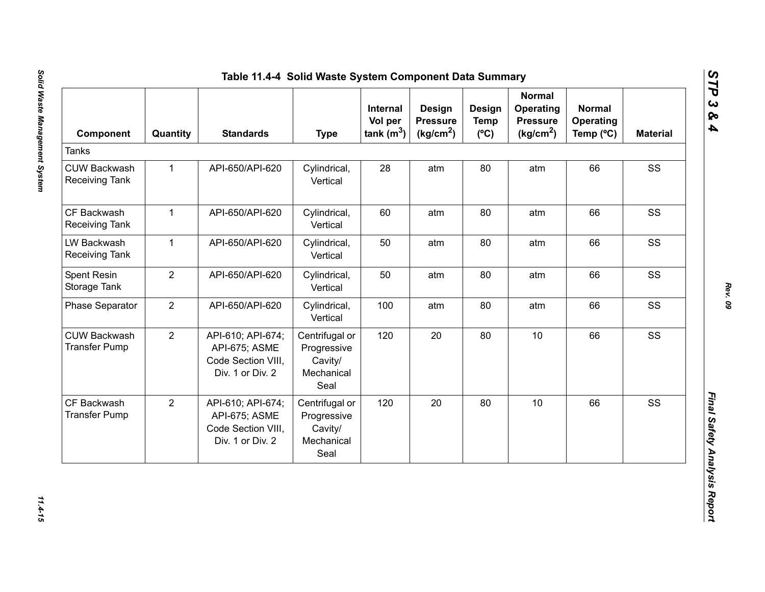| Component                                    | Quantity       | <b>Standards</b>                                                             | <b>Type</b>                                                    | Internal<br>Vol per<br>tank $(m^3)$ | <b>Design</b><br><b>Pressure</b><br>(kg/cm <sup>2</sup> ) | Design<br><b>Temp</b><br>$(^{\circ}C)$ | <b>Normal</b><br>Operating<br><b>Pressure</b><br>(kg/cm <sup>2</sup> ) | <b>Normal</b><br>Operating<br>Temp (°C) | <b>Material</b> |
|----------------------------------------------|----------------|------------------------------------------------------------------------------|----------------------------------------------------------------|-------------------------------------|-----------------------------------------------------------|----------------------------------------|------------------------------------------------------------------------|-----------------------------------------|-----------------|
| <b>Tanks</b>                                 |                |                                                                              |                                                                |                                     |                                                           |                                        |                                                                        |                                         |                 |
| <b>CUW Backwash</b><br><b>Receiving Tank</b> | $\mathbf{1}$   | API-650/API-620                                                              | Cylindrical,<br>Vertical                                       | 28                                  | atm                                                       | 80                                     | atm                                                                    | 66                                      | SS              |
| CF Backwash<br>Receiving Tank                | $\mathbf 1$    | API-650/API-620                                                              | Cylindrical,<br>Vertical                                       | 60                                  | atm                                                       | 80                                     | atm                                                                    | 66                                      | SS              |
| LW Backwash<br><b>Receiving Tank</b>         | $\mathbf{1}$   | API-650/API-620                                                              | Cylindrical,<br>Vertical                                       | 50                                  | atm                                                       | 80                                     | atm                                                                    | 66                                      | SS              |
| Spent Resin<br>Storage Tank                  | $\overline{2}$ | API-650/API-620                                                              | Cylindrical,<br>Vertical                                       | 50                                  | atm                                                       | 80                                     | atm                                                                    | 66                                      | SS              |
| <b>Phase Separator</b>                       | $\overline{2}$ | API-650/API-620                                                              | Cylindrical,<br>Vertical                                       | 100                                 | atm                                                       | 80                                     | atm                                                                    | 66                                      | SS              |
| <b>CUW Backwash</b><br><b>Transfer Pump</b>  | $\overline{2}$ | API-610; API-674;<br>API-675; ASME<br>Code Section VIII,<br>Div. 1 or Div. 2 | Centrifugal or<br>Progressive<br>Cavity/<br>Mechanical<br>Seal | 120                                 | 20                                                        | 80                                     | 10                                                                     | 66                                      | SS              |
| CF Backwash<br><b>Transfer Pump</b>          | $\overline{2}$ | API-610; API-674;<br>API-675; ASME<br>Code Section VIII,<br>Div. 1 or Div. 2 | Centrifugal or<br>Progressive<br>Cavity/<br>Mechanical<br>Seal | 120                                 | 20                                                        | 80                                     | 10                                                                     | 66                                      | SS              |

*STP 3 & 4*

11.4-15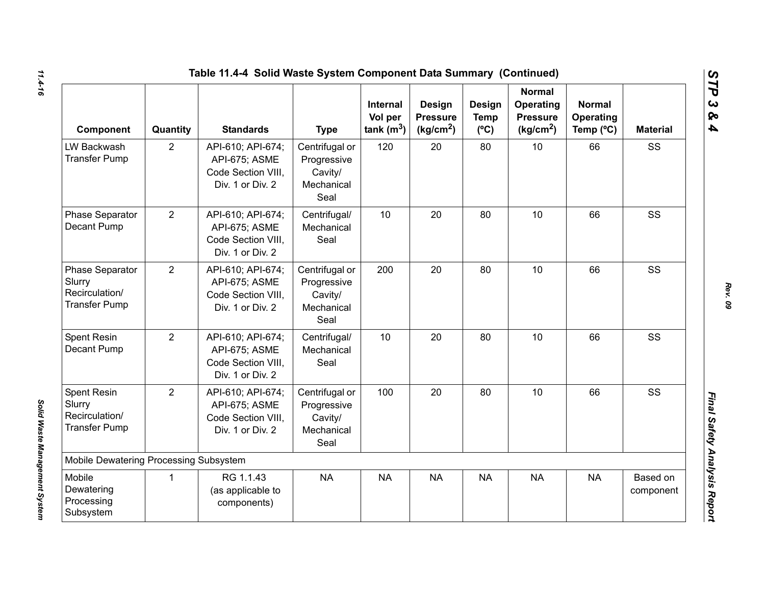| Table 11.4-4 Solid Waste System Component Data Summary (Continued)         |                |                                                                              |                                                                |                                            |                                                    |                                        |                                                                        |                                         |                       |  |
|----------------------------------------------------------------------------|----------------|------------------------------------------------------------------------------|----------------------------------------------------------------|--------------------------------------------|----------------------------------------------------|----------------------------------------|------------------------------------------------------------------------|-----------------------------------------|-----------------------|--|
| Component                                                                  | Quantity       | <b>Standards</b>                                                             | <b>Type</b>                                                    | <b>Internal</b><br>Vol per<br>tank $(m^3)$ | Design<br><b>Pressure</b><br>(kg/cm <sup>2</sup> ) | Design<br><b>Temp</b><br>$(^{\circ}C)$ | <b>Normal</b><br>Operating<br><b>Pressure</b><br>(kg/cm <sup>2</sup> ) | <b>Normal</b><br>Operating<br>Temp (°C) | <b>Material</b>       |  |
| LW Backwash<br><b>Transfer Pump</b>                                        | $\overline{2}$ | API-610; API-674;<br>API-675; ASME<br>Code Section VIII,<br>Div. 1 or Div. 2 | Centrifugal or<br>Progressive<br>Cavity/<br>Mechanical<br>Seal | 120                                        | 20                                                 | 80                                     | 10                                                                     | 66                                      | SS                    |  |
| Phase Separator<br>Decant Pump                                             | 2              | API-610; API-674;<br>API-675; ASME<br>Code Section VIII.<br>Div. 1 or Div. 2 | Centrifugal/<br>Mechanical<br>Seal                             | 10                                         | 20                                                 | 80                                     | 10                                                                     | 66                                      | SS                    |  |
| <b>Phase Separator</b><br>Slurry<br>Recirculation/<br><b>Transfer Pump</b> | $\overline{2}$ | API-610; API-674;<br>API-675; ASME<br>Code Section VIII,<br>Div. 1 or Div. 2 | Centrifugal or<br>Progressive<br>Cavity/<br>Mechanical<br>Seal | 200                                        | 20                                                 | 80                                     | 10                                                                     | 66                                      | SS                    |  |
| Spent Resin<br>Decant Pump                                                 | $\overline{2}$ | API-610; API-674;<br>API-675; ASME<br>Code Section VIII.<br>Div. 1 or Div. 2 | Centrifugal/<br>Mechanical<br>Seal                             | 10                                         | 20                                                 | 80                                     | 10                                                                     | 66                                      | SS                    |  |
| <b>Spent Resin</b><br>Slurry<br>Recirculation/<br><b>Transfer Pump</b>     | $\overline{2}$ | API-610; API-674;<br>API-675; ASME<br>Code Section VIII.<br>Div. 1 or Div. 2 | Centrifugal or<br>Progressive<br>Cavity/<br>Mechanical<br>Seal | 100                                        | 20                                                 | 80                                     | 10                                                                     | 66                                      | SS                    |  |
| Mobile Dewatering Processing Subsystem                                     |                |                                                                              |                                                                |                                            |                                                    |                                        |                                                                        |                                         |                       |  |
| Mobile<br>Dewatering<br>Processing<br>Subsystem                            | $\mathbf{1}$   | RG 1.1.43<br>(as applicable to<br>components)                                | <b>NA</b>                                                      | <b>NA</b>                                  | <b>NA</b>                                          | <b>NA</b>                              | <b>NA</b>                                                              | <b>NA</b>                               | Based on<br>component |  |

*Solid Waste Management System* 

Solid Waste Management System

*STP 3 & 4*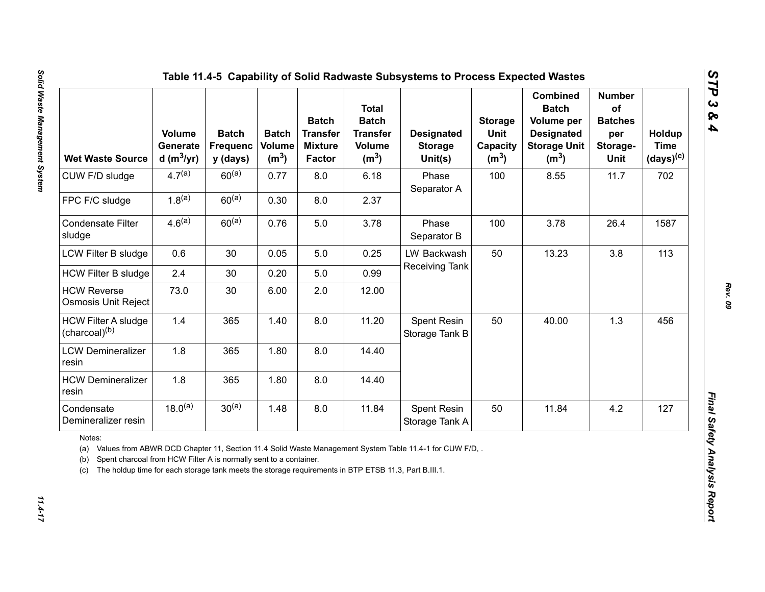| <b>Wet Waste Source</b>                                                                                                                                                                                  | <b>Volume</b><br>Generate<br>d (m $3$ /yr) | <b>Batch</b><br><b>Frequenc</b><br>y (days) | <b>Batch</b><br>Volume<br>(m <sup>3</sup> ) | <b>Batch</b><br><b>Transfer</b><br><b>Mixture</b><br><b>Factor</b> | <b>Total</b><br><b>Batch</b><br><b>Transfer</b><br><b>Volume</b><br>(m <sup>3</sup> ) | <b>Designated</b><br><b>Storage</b><br>Unit(s)                                                          | <b>Storage</b><br>Unit<br>Capacity<br>(m <sup>3</sup> ) | <b>Combined</b><br><b>Batch</b><br>Volume per<br><b>Designated</b><br><b>Storage Unit</b><br>(m <sup>3</sup> ) | <b>Number</b><br>of<br><b>Batches</b><br>per<br>Storage-<br>Unit | Holdup<br><b>Time</b><br>$(days)^{(c)}$ |
|----------------------------------------------------------------------------------------------------------------------------------------------------------------------------------------------------------|--------------------------------------------|---------------------------------------------|---------------------------------------------|--------------------------------------------------------------------|---------------------------------------------------------------------------------------|---------------------------------------------------------------------------------------------------------|---------------------------------------------------------|----------------------------------------------------------------------------------------------------------------|------------------------------------------------------------------|-----------------------------------------|
| CUW F/D sludge                                                                                                                                                                                           | $4.7^{(a)}$                                | $60^{(a)}$                                  | 0.77                                        | 8.0                                                                | 6.18                                                                                  | Phase<br>Separator A                                                                                    | 100                                                     | 8.55                                                                                                           | 11.7                                                             | 702                                     |
| FPC F/C sludge                                                                                                                                                                                           | $1.8^{(a)}$                                | $60^{(a)}$                                  | 0.30                                        | 8.0                                                                | 2.37                                                                                  |                                                                                                         |                                                         |                                                                                                                |                                                                  |                                         |
| <b>Condensate Filter</b><br>sludge                                                                                                                                                                       | 4.6 <sup>(a)</sup>                         | $60^{(a)}$                                  | 0.76                                        | 5.0                                                                | 3.78                                                                                  | Phase<br>Separator B                                                                                    | 100                                                     | 3.78                                                                                                           | 26.4                                                             | 1587                                    |
| LCW Filter B sludge                                                                                                                                                                                      | 0.6                                        | 30                                          | 0.05                                        | 5.0                                                                | 0.25                                                                                  | LW Backwash                                                                                             | 50                                                      | 13.23                                                                                                          | 3.8                                                              | 113                                     |
| <b>HCW Filter B sludge</b>                                                                                                                                                                               | 2.4                                        | 30                                          | 0.20                                        | 5.0                                                                | 0.99                                                                                  | Receiving Tank                                                                                          |                                                         |                                                                                                                |                                                                  |                                         |
| <b>HCW Reverse</b><br>Osmosis Unit Reject                                                                                                                                                                | 73.0                                       | 30                                          | 6.00                                        | 2.0                                                                | 12.00                                                                                 |                                                                                                         |                                                         |                                                                                                                |                                                                  |                                         |
| <b>HCW Filter A sludge</b><br>(charcoal) <sup>(b)</sup>                                                                                                                                                  | 1.4                                        | 365                                         | 1.40                                        | 8.0                                                                | 11.20                                                                                 | Spent Resin<br>Storage Tank B                                                                           | 50                                                      | 40.00                                                                                                          | 1.3                                                              | 456                                     |
| <b>LCW Demineralizer</b><br>resin                                                                                                                                                                        | 1.8                                        | 365                                         | 1.80                                        | 8.0                                                                | 14.40                                                                                 |                                                                                                         |                                                         |                                                                                                                |                                                                  |                                         |
| <b>HCW Demineralizer</b><br>resin                                                                                                                                                                        | 1.8                                        | 365                                         | 1.80                                        | 8.0                                                                | 14.40                                                                                 |                                                                                                         |                                                         |                                                                                                                |                                                                  |                                         |
| Condensate<br>Demineralizer resin                                                                                                                                                                        | $18.0^{(a)}$                               | $30^{(a)}$                                  | 1.48                                        | 8.0                                                                | 11.84                                                                                 | Spent Resin<br>Storage Tank A                                                                           | 50                                                      | 11.84                                                                                                          | 4.2                                                              | 127                                     |
| Notes:<br>(a)<br>Spent charcoal from HCW Filter A is normally sent to a container.<br>(b)<br>The holdup time for each storage tank meets the storage requirements in BTP ETSB 11.3, Part B.III.1.<br>(c) |                                            |                                             |                                             |                                                                    |                                                                                       | Values from ABWR DCD Chapter 11, Section 11.4 Solid Waste Management System Table 11.4-1 for CUW F/D, . |                                                         |                                                                                                                |                                                                  |                                         |

 $11.4 - 17$ 

*STP 3 & 4*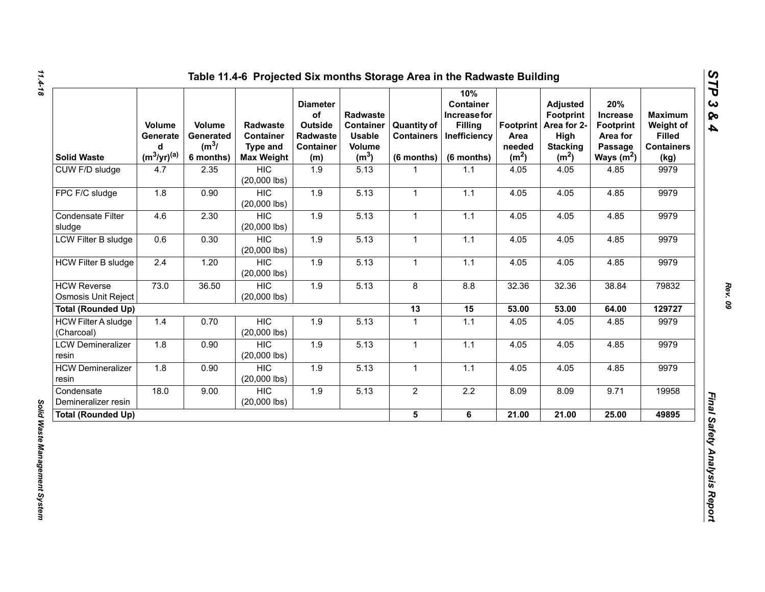| <b>Solid Waste</b>                               | Volume<br>Generate<br>d<br>$(m^3/yr)^{(a)}$ | Volume<br>Generated<br>$(m^3)$<br>6 months) | <b>Radwaste</b><br>Container<br><b>Type and</b><br><b>Max Weight</b> | <b>Diameter</b><br>of<br>Outside<br>Radwaste<br><b>Container</b><br>(m) | Radwaste<br><b>Container</b><br><b>Usable</b><br>Volume<br>(m <sup>3</sup> ) | <b>Quantity of</b><br><b>Containers</b><br>$(6$ months) | 10%<br><b>Container</b><br>Increase for<br><b>Filling</b><br>Inefficiency<br>(6 months) | Footprint  <br>Area<br>needed<br>(m <sup>2</sup> ) | <b>Adjusted</b><br><b>Footprint</b><br>Area for 2-<br>High<br><b>Stacking</b><br>(m <sup>2</sup> ) | 20%<br><b>Increase</b><br><b>Footprint</b><br>Area for<br>Passage<br>Ways $(m^2)$ | <b>Maximum</b><br>Weight of<br><b>Filled</b><br><b>Containers</b><br>(kg) |
|--------------------------------------------------|---------------------------------------------|---------------------------------------------|----------------------------------------------------------------------|-------------------------------------------------------------------------|------------------------------------------------------------------------------|---------------------------------------------------------|-----------------------------------------------------------------------------------------|----------------------------------------------------|----------------------------------------------------------------------------------------------------|-----------------------------------------------------------------------------------|---------------------------------------------------------------------------|
| CUW F/D sludge                                   | 4.7                                         | 2.35                                        | <b>HIC</b><br>$(20,000$ lbs)                                         | 1.9                                                                     | 5.13                                                                         | 1                                                       | 1.1                                                                                     | 4.05                                               | 4.05                                                                                               | 4.85                                                                              | 9979                                                                      |
| FPC F/C sludge                                   | 1.8                                         | 0.90                                        | <b>HIC</b><br>$(20,000$ lbs)                                         | 1.9                                                                     | 5.13                                                                         | $\mathbf{1}$                                            | 1.1                                                                                     | 4.05                                               | 4.05                                                                                               | 4.85                                                                              | 9979                                                                      |
| Condensate Filter<br>sludge                      | 4.6                                         | 2.30                                        | <b>HIC</b><br>$(20,000$ lbs)                                         | 1.9                                                                     | 5.13                                                                         | $\mathbf{1}$                                            | 1.1                                                                                     | 4.05                                               | 4.05                                                                                               | 4.85                                                                              | 9979                                                                      |
| LCW Filter B sludge                              | 0.6                                         | 0.30                                        | <b>HIC</b><br>$(20,000$ lbs)                                         | 1.9                                                                     | 5.13                                                                         | $\mathbf{1}$                                            | $1.1$                                                                                   | 4.05                                               | 4.05                                                                                               | 4.85                                                                              | 9979                                                                      |
| <b>HCW Filter B sludge</b>                       | 2.4                                         | 1.20                                        | <b>HIC</b><br>$(20,000$ lbs)                                         | 1.9                                                                     | 5.13                                                                         | $\mathbf{1}$                                            | 1.1                                                                                     | 4.05                                               | 4.05                                                                                               | 4.85                                                                              | 9979                                                                      |
| <b>HCW Reverse</b><br><b>Osmosis Unit Reject</b> | 73.0                                        | 36.50                                       | <b>HIC</b><br>$(20,000$ lbs)                                         | 1.9                                                                     | 5.13                                                                         | 8                                                       | 8.8                                                                                     | 32.36                                              | 32.36                                                                                              | 38.84                                                                             | 79832                                                                     |
| <b>Total (Rounded Up)</b>                        |                                             |                                             |                                                                      |                                                                         |                                                                              | 13                                                      | 15                                                                                      | 53.00                                              | 53.00                                                                                              | 64.00                                                                             | 129727                                                                    |
| <b>HCW Filter A sludge</b><br>(Charcoal)         | 1.4                                         | 0.70                                        | <b>HIC</b><br>$(20,000$ lbs)                                         | 1.9                                                                     | 5.13                                                                         | $\mathbf{1}$                                            | $1.1$                                                                                   | 4.05                                               | 4.05                                                                                               | 4.85                                                                              | 9979                                                                      |
| <b>LCW Demineralizer</b><br>resin                | 1.8                                         | 0.90                                        | <b>HIC</b><br>$(20,000$ lbs)                                         | 1.9                                                                     | 5.13                                                                         | $\mathbf{1}$                                            | 1.1                                                                                     | 4.05                                               | 4.05                                                                                               | 4.85                                                                              | 9979                                                                      |
| <b>HCW Demineralizer</b><br>resin                | 1.8                                         | 0.90                                        | <b>HIC</b><br>$(20,000$ lbs)                                         | 1.9                                                                     | 5.13                                                                         | 1                                                       | 1.1                                                                                     | 4.05                                               | 4.05                                                                                               | 4.85                                                                              | 9979                                                                      |
| Condensate<br>Demineralizer resin                | 18.0                                        | 9.00                                        | <b>HIC</b><br>$(20,000$ lbs)                                         | 1.9                                                                     | 5.13                                                                         | $\overline{2}$                                          | $2.2\,$                                                                                 | 8.09                                               | 8.09                                                                                               | 9.71                                                                              | 19958                                                                     |
| <b>Total (Rounded Up)</b>                        |                                             |                                             |                                                                      |                                                                         |                                                                              | 5 <sup>5</sup>                                          | 6                                                                                       | 21.00                                              | 21.00                                                                                              | 25.00                                                                             | 49895                                                                     |

*STP 3 & 4*

Solid Waste Management System *Solid Waste Management System*